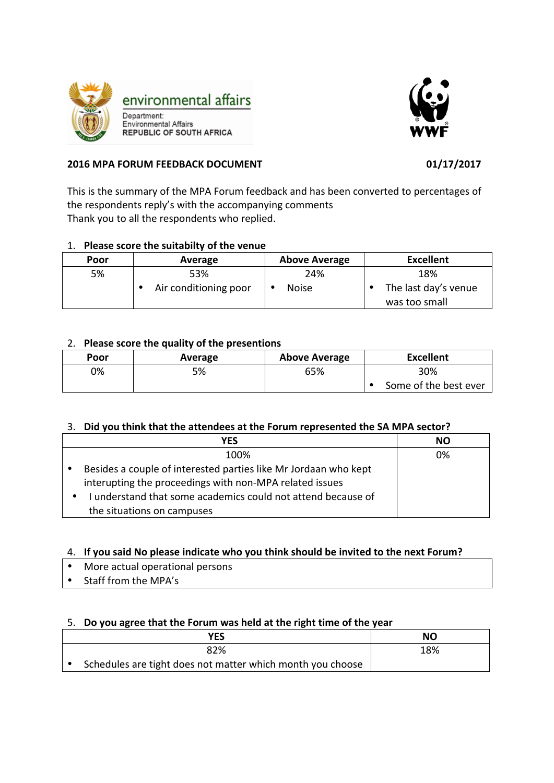



## **2016 MPA FORUM FEEDBACK DOCUMENT 01/17/2017**

This is the summary of the MPA Forum feedback and has been converted to percentages of the respondents reply's with the accompanying comments Thank you to all the respondents who replied.

# 1. Please score the suitabilty of the venue

| Poor | Average               | <b>Above Average</b> | <b>Excellent</b>     |
|------|-----------------------|----------------------|----------------------|
| 5%   | 53%                   | 24%                  | 18%                  |
|      | Air conditioning poor | <b>Noise</b>         | The last day's venue |
|      |                       |                      | was too small        |

## 2. **Please score the quality of the presentions**

| Poor | Average | <b>Above Average</b> | <b>Excellent</b>      |
|------|---------|----------------------|-----------------------|
| 0%   | 5%      | 65%                  | 30%                   |
|      |         |                      | Some of the best ever |

## 3. Did you think that the attendees at the Forum represented the SA MPA sector?

| YES                                                                                                                        | <b>NO</b> |
|----------------------------------------------------------------------------------------------------------------------------|-----------|
| 100%                                                                                                                       | 0%        |
| Besides a couple of interested parties like Mr Jordaan who kept<br>interupting the proceedings with non-MPA related issues |           |
| I understand that some academics could not attend because of<br>the situations on campuses                                 |           |

## 4. If you said No please indicate who you think should be invited to the next Forum?

- More actual operational persons
- Staff from the MPA's

## 5. Do you agree that the Forum was held at the right time of the year

| <b>YES</b>                                                 | NO  |
|------------------------------------------------------------|-----|
| 82%                                                        | 18% |
| Schedules are tight does not matter which month you choose |     |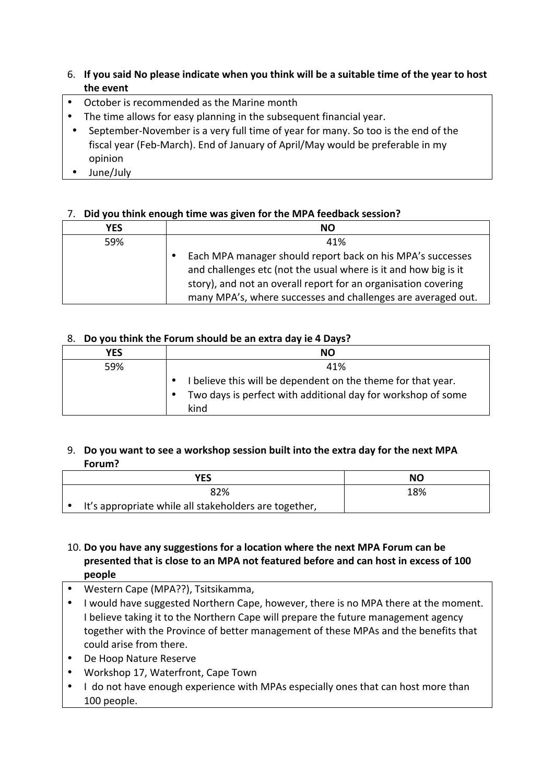# 6. If you said No please indicate when you think will be a suitable time of the year to host **the event**

- October is recommended as the Marine month
- The time allows for easy planning in the subsequent financial year.
- September-November is a very full time of year for many. So too is the end of the fiscal year (Feb-March). End of January of April/May would be preferable in my opinion
- June/July

## 7. Did you think enough time was given for the MPA feedback session?

| <b>YES</b> | <b>NO</b>                                                                                                                                                                                                                                                       |
|------------|-----------------------------------------------------------------------------------------------------------------------------------------------------------------------------------------------------------------------------------------------------------------|
| 59%        | 41%                                                                                                                                                                                                                                                             |
|            | Each MPA manager should report back on his MPA's successes<br>and challenges etc (not the usual where is it and how big is it<br>story), and not an overall report for an organisation covering<br>many MPA's, where successes and challenges are averaged out. |

### 8. **Do you think the Forum should be an extra day ie 4 Days?**

| <b>YES</b> | <b>NO</b>                                                                 |
|------------|---------------------------------------------------------------------------|
| 59%        | 41%                                                                       |
|            | I believe this will be dependent on the theme for that year.<br>$\bullet$ |
|            | Two days is perfect with additional day for workshop of some<br>$\bullet$ |
|            | kind                                                                      |

### 9. Do you want to see a workshop session built into the extra day for the next MPA **Forum?**

| YES                                                   | ΝO  |
|-------------------------------------------------------|-----|
| 82%                                                   | 18% |
| It's appropriate while all stakeholders are together, |     |

# 10. Do you have any suggestions for a location where the next MPA Forum can be presented that is close to an MPA not featured before and can host in excess of 100 **people**

- Western Cape (MPA??), Tsitsikamma,
- I would have suggested Northern Cape, however, there is no MPA there at the moment. I believe taking it to the Northern Cape will prepare the future management agency together with the Province of better management of these MPAs and the benefits that could arise from there.
- De Hoop Nature Reserve
- Workshop 17, Waterfront, Cape Town
- I do not have enough experience with MPAs especially ones that can host more than 100 people.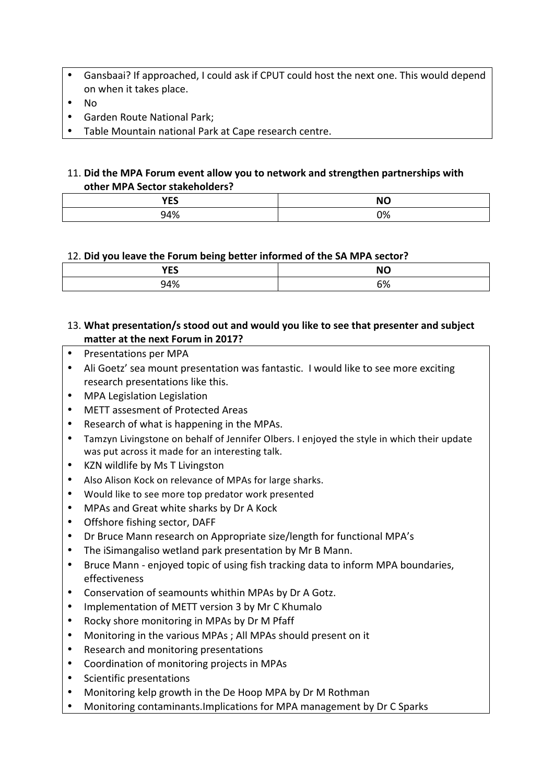- Gansbaai? If approached, I could ask if CPUT could host the next one. This would depend on when it takes place.
- No
- Garden Route National Park;
- Table Mountain national Park at Cape research centre.

## 11. Did the MPA Forum event allow you to network and strengthen partnerships with **other MPA Sector stakeholders?**

| <b>VEC</b><br>. | <b>NO</b> |
|-----------------|-----------|
| 94%             | 0%        |

### 12. Did you leave the Forum being better informed of the SA MPA sector?

| $\cdots$<br>ᆸ | <b>NC</b>   |
|---------------|-------------|
| 140/          | rn,<br>ን ፖር |

## 13. What presentation/s stood out and would you like to see that presenter and subject **matter** at the next Forum in 2017?

- Presentations per MPA
- Ali Goetz' sea mount presentation was fantastic. I would like to see more exciting research presentations like this.
- MPA Legislation Legislation
- METT assesment of Protected Areas
- Research of what is happening in the MPAs.
- Tamzyn Livingstone on behalf of Jennifer Olbers. I enjoyed the style in which their update was put across it made for an interesting talk.
- KZN wildlife by Ms T Livingston
- Also Alison Kock on relevance of MPAs for large sharks.
- Would like to see more top predator work presented
- MPAs and Great white sharks by Dr A Kock
- Offshore fishing sector, DAFF
- Dr Bruce Mann research on Appropriate size/length for functional MPA's
- The iSimangaliso wetland park presentation by Mr B Mann.
- Bruce Mann enjoved topic of using fish tracking data to inform MPA boundaries, effectiveness
- Conservation of seamounts whithin MPAs by Dr A Gotz.
- Implementation of METT version 3 by Mr C Khumalo
- Rocky shore monitoring in MPAs by Dr M Pfaff
- Monitoring in the various MPAs; All MPAs should present on it
- Research and monitoring presentations
- Coordination of monitoring projects in MPAs
- Scientific presentations
- Monitoring kelp growth in the De Hoop MPA by Dr M Rothman
- Monitoring contaminants. Implications for MPA management by Dr C Sparks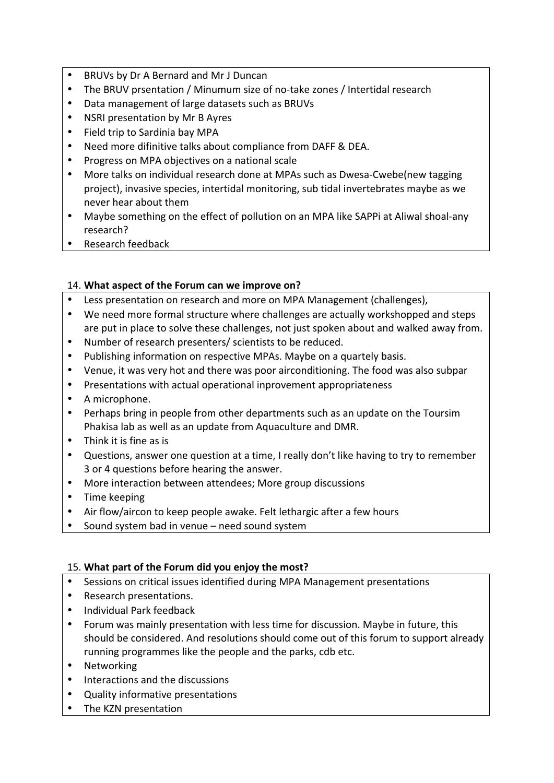- BRUVs by Dr A Bernard and Mr J Duncan
- The BRUV prsentation / Minumum size of no-take zones / Intertidal research
- Data management of large datasets such as BRUVs
- NSRI presentation by Mr B Ayres
- Field trip to Sardinia bay MPA
- Need more difinitive talks about compliance from DAFF & DEA.
- Progress on MPA objectives on a national scale
- More talks on individual research done at MPAs such as Dwesa-Cwebe(new tagging project), invasive species, intertidal monitoring, sub tidal invertebrates maybe as we never hear about them
- Maybe something on the effect of pollution on an MPA like SAPPi at Aliwal shoal-any research?
- Research feedback

## 14. What aspect of the Forum can we improve on?

- Less presentation on research and more on MPA Management (challenges),
- We need more formal structure where challenges are actually workshopped and steps are put in place to solve these challenges, not just spoken about and walked away from.
- Number of research presenters/ scientists to be reduced.
- Publishing information on respective MPAs. Maybe on a quartely basis.
- Venue, it was very hot and there was poor airconditioning. The food was also subpar
- Presentations with actual operational inprovement appropriateness
- A microphone.
- Perhaps bring in people from other departments such as an update on the Toursim Phakisa lab as well as an update from Aquaculture and DMR.
- Think it is fine as is
- Questions, answer one question at a time, I really don't like having to try to remember 3 or 4 questions before hearing the answer.
- More interaction between attendees; More group discussions
- Time keeping
- Air flow/aircon to keep people awake. Felt lethargic after a few hours
- Sound system bad in venue need sound system

## 15. What part of the Forum did you enjoy the most?

- Sessions on critical issues identified during MPA Management presentations
- Research presentations.
- Individual Park feedback
- Forum was mainly presentation with less time for discussion. Maybe in future, this should be considered. And resolutions should come out of this forum to support already running programmes like the people and the parks, cdb etc.
- Networking
- Interactions and the discussions
- Quality informative presentations
- The KZN presentation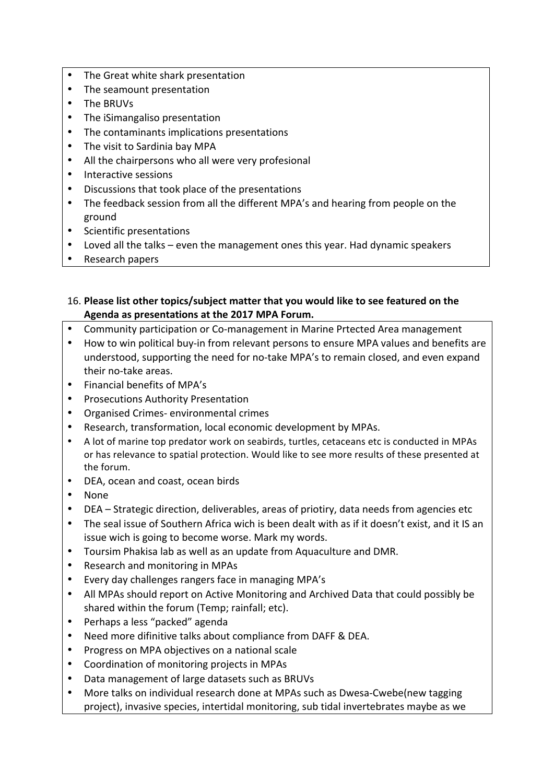- The Great white shark presentation
- The seamount presentation
- The BRUVs
- The iSimangaliso presentation
- The contaminants implications presentations
- The visit to Sardinia bay MPA
- All the chairpersons who all were very profesional
- Interactive sessions
- Discussions that took place of the presentations
- The feedback session from all the different MPA's and hearing from people on the ground
- Scientific presentations
- Loved all the talks  $-$  even the management ones this year. Had dynamic speakers
- Research papers

## 16. Please list other topics/subject matter that you would like to see featured on the Agenda as presentations at the 2017 MPA Forum.

- Community participation or Co-management in Marine Prtected Area management
- How to win political buy-in from relevant persons to ensure MPA values and benefits are understood, supporting the need for no-take MPA's to remain closed, and even expand their no-take areas.
- Financial benefits of MPA's
- Prosecutions Authority Presentation
- Organised Crimes- environmental crimes
- Research, transformation, local economic development by MPAs.
- A lot of marine top predator work on seabirds, turtles, cetaceans etc is conducted in MPAs or has relevance to spatial protection. Would like to see more results of these presented at the forum.
- DEA, ocean and coast, ocean birds
- None
- DEA Strategic direction, deliverables, areas of priotiry, data needs from agencies etc
- The seal issue of Southern Africa wich is been dealt with as if it doesn't exist, and it IS an issue wich is going to become worse. Mark my words.
- Toursim Phakisa lab as well as an update from Aquaculture and DMR.
- Research and monitoring in MPAs
- Every day challenges rangers face in managing MPA's
- All MPAs should report on Active Monitoring and Archived Data that could possibly be shared within the forum (Temp; rainfall; etc).
- Perhaps a less "packed" agenda
- Need more difinitive talks about compliance from DAFF & DEA.
- Progress on MPA objectives on a national scale
- Coordination of monitoring projects in MPAs
- Data management of large datasets such as BRUVs
- More talks on individual research done at MPAs such as Dwesa-Cwebe(new tagging project), invasive species, intertidal monitoring, sub tidal invertebrates maybe as we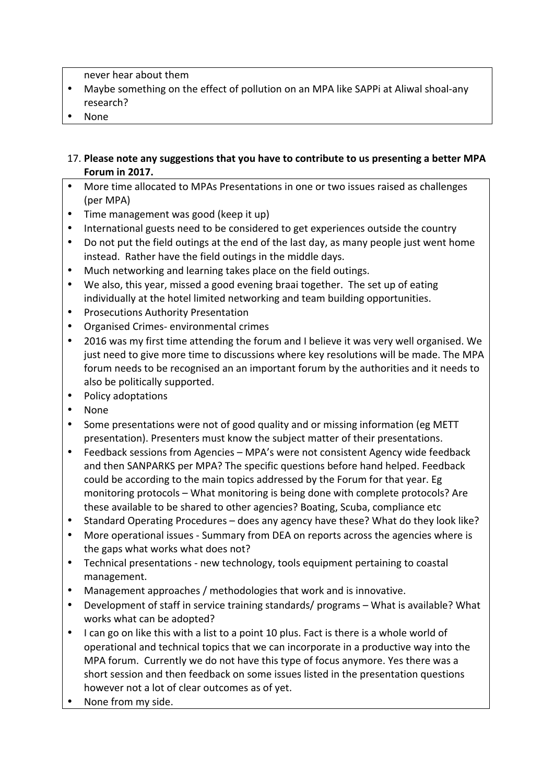never hear about them

- Maybe something on the effect of pollution on an MPA like SAPPi at Aliwal shoal-any research?
- None

# 17. Please note any suggestions that you have to contribute to us presenting a better MPA **Forum in 2017.**

- More time allocated to MPAs Presentations in one or two issues raised as challenges (per MPA)
- Time management was good (keep it up)
- International guests need to be considered to get experiences outside the country
- Do not put the field outings at the end of the last day, as many people just went home instead. Rather have the field outings in the middle days.
- Much networking and learning takes place on the field outings.
- We also, this year, missed a good evening braai together. The set up of eating individually at the hotel limited networking and team building opportunities.
- Prosecutions Authority Presentation
- Organised Crimes- environmental crimes
- 2016 was my first time attending the forum and I believe it was very well organised. We just need to give more time to discussions where key resolutions will be made. The MPA forum needs to be recognised an an important forum by the authorities and it needs to also be politically supported.
- Policy adoptations
- None
- Some presentations were not of good quality and or missing information (eg METT) presentation). Presenters must know the subject matter of their presentations.
- Feedback sessions from Agencies MPA's were not consistent Agency wide feedback and then SANPARKS per MPA? The specific questions before hand helped. Feedback could be according to the main topics addressed by the Forum for that year. Eg monitoring protocols – What monitoring is being done with complete protocols? Are these available to be shared to other agencies? Boating, Scuba, compliance etc
- Standard Operating Procedures does any agency have these? What do they look like?
- More operational issues Summary from DEA on reports across the agencies where is the gaps what works what does not?
- Technical presentations new technology, tools equipment pertaining to coastal management.
- Management approaches / methodologies that work and is innovative.
- Development of staff in service training standards/ programs What is available? What works what can be adopted?
- I can go on like this with a list to a point 10 plus. Fact is there is a whole world of operational and technical topics that we can incorporate in a productive way into the MPA forum. Currently we do not have this type of focus anymore. Yes there was a short session and then feedback on some issues listed in the presentation questions however not a lot of clear outcomes as of yet.
- None from my side.